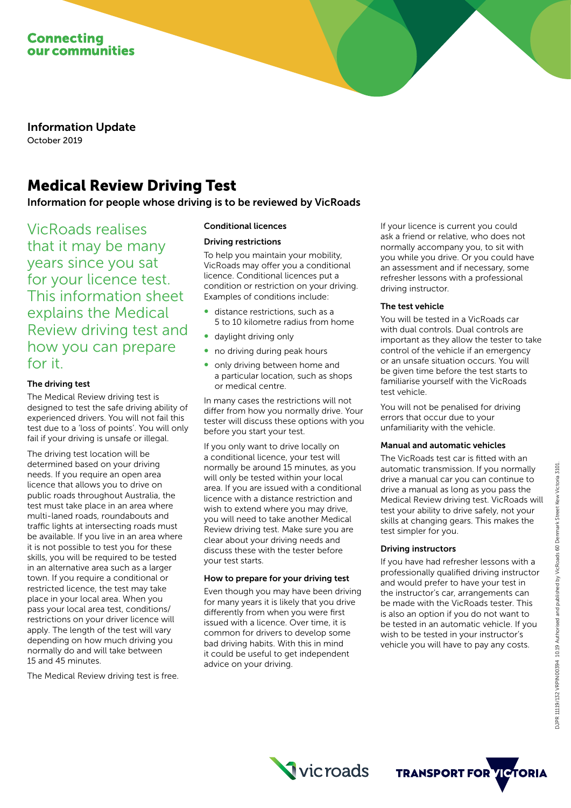

Information Update October 2019

# Medical Review Driving Test

Information for people whose driving is to be reviewed by VicRoads

VicRoads realises that it may be many years since you sat for your licence test. This information sheet explains the Medical Review driving test and how you can prepare for it.

# The driving test

The Medical Review driving test is designed to test the safe driving ability of experienced drivers. You will not fail this test due to a 'loss of points'. You will only fail if your driving is unsafe or illegal.

The driving test location will be determined based on your driving needs. If you require an open area licence that allows you to drive on public roads throughout Australia, the test must take place in an area where multi-laned roads, roundabouts and traffic lights at intersecting roads must be available. If you live in an area where it is not possible to test you for these skills, you will be required to be tested in an alternative area such as a larger town. If you require a conditional or restricted licence, the test may take place in your local area. When you pass your local area test, conditions/ restrictions on your driver licence will apply. The length of the test will vary depending on how much driving you normally do and will take between 15 and 45 minutes.

The Medical Review driving test is free.

## Conditional licences

#### Driving restrictions

To help you maintain your mobility, VicRoads may offer you a conditional licence. Conditional licences put a condition or restriction on your driving. Examples of conditions include:

- distance restrictions, such as a 5 to 10 kilometre radius from home
- daylight driving only
- no driving during peak hours
- only driving between home and a particular location, such as shops or medical centre.

In many cases the restrictions will not differ from how you normally drive. Your tester will discuss these options with you before you start your test.

If you only want to drive locally on a conditional licence, your test will normally be around 15 minutes, as you will only be tested within your local area. If you are issued with a conditional licence with a distance restriction and wish to extend where you may drive, you will need to take another Medical Review driving test. Make sure you are clear about your driving needs and discuss these with the tester before your test starts.

# How to prepare for your driving test

Even though you may have been driving for many years it is likely that you drive differently from when you were first issued with a licence. Over time, it is common for drivers to develop some bad driving habits. With this in mind it could be useful to get independent advice on your driving.

If your licence is current you could ask a friend or relative, who does not normally accompany you, to sit with you while you drive. Or you could have an assessment and if necessary, some refresher lessons with a professional driving instructor.

#### The test vehicle

You will be tested in a VicRoads car with dual controls. Dual controls are important as they allow the tester to take control of the vehicle if an emergency or an unsafe situation occurs. You will be given time before the test starts to familiarise yourself with the VicRoads test vehicle.

You will not be penalised for driving errors that occur due to your unfamiliarity with the vehicle.

# Manual and automatic vehicles

The VicRoads test car is fitted with an automatic transmission. If you normally drive a manual car you can continue to drive a manual as long as you pass the Medical Review driving test. VicRoads will test your ability to drive safely, not your skills at changing gears. This makes the test simpler for you.

# Driving instructors

If you have had refresher lessons with a professionally qualified driving instructor and would prefer to have your test in the instructor's car, arrangements can be made with the VicRoads tester. This is also an option if you do not want to be tested in an automatic vehicle. If you wish to be tested in your instructor's vehicle you will have to pay any costs.